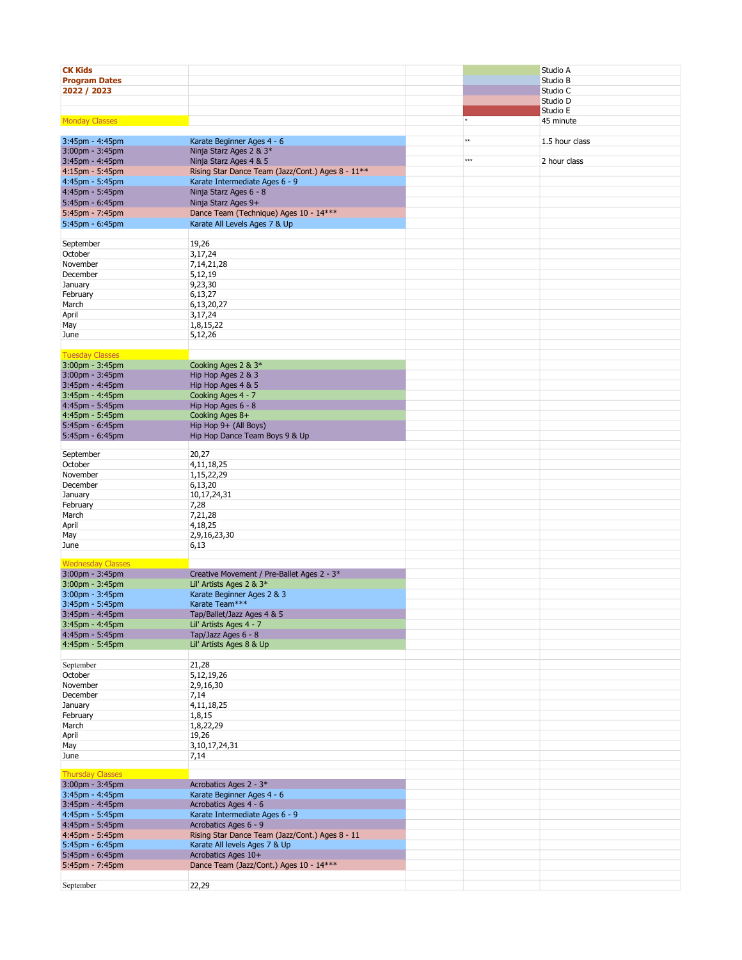| <b>CK Kids</b>           |                                                   |                 | Studio A       |
|--------------------------|---------------------------------------------------|-----------------|----------------|
|                          |                                                   |                 |                |
| <b>Program Dates</b>     |                                                   |                 | Studio B       |
| 2022 / 2023              |                                                   |                 | Studio C       |
|                          |                                                   |                 | Studio D       |
|                          |                                                   |                 |                |
|                          |                                                   |                 | Studio E       |
| <b>Monday Classes</b>    |                                                   | $^\star$        | 45 minute      |
|                          |                                                   |                 |                |
|                          |                                                   | $^{\star\star}$ |                |
| 3:45pm - 4:45pm          | Karate Beginner Ages 4 - 6                        |                 | 1.5 hour class |
| $3:00$ pm - $3:45$ pm    | Ninja Starz Ages 2 & 3*                           |                 |                |
| 3:45pm - 4:45pm          | Ninja Starz Ages 4 & 5                            | $***$           | 2 hour class   |
|                          |                                                   |                 |                |
| 4:15pm - 5:45pm          | Rising Star Dance Team (Jazz/Cont.) Ages 8 - 11** |                 |                |
| 4:45pm - 5:45pm          | Karate Intermediate Ages 6 - 9                    |                 |                |
| 4:45pm - 5:45pm          | Ninja Starz Ages 6 - 8                            |                 |                |
|                          |                                                   |                 |                |
| 5:45pm - 6:45pm          | Ninja Starz Ages 9+                               |                 |                |
| 5:45pm - 7:45pm          | Dance Team (Technique) Ages 10 - 14***            |                 |                |
| 5:45pm - 6:45pm          | Karate All Levels Ages 7 & Up                     |                 |                |
|                          |                                                   |                 |                |
|                          |                                                   |                 |                |
| September                | 19,26                                             |                 |                |
| October                  | 3,17,24                                           |                 |                |
|                          |                                                   |                 |                |
| November                 | 7,14,21,28                                        |                 |                |
| December                 | 5,12,19                                           |                 |                |
| January                  | 9,23,30                                           |                 |                |
| February                 | 6,13,27                                           |                 |                |
|                          |                                                   |                 |                |
| March                    | 6,13,20,27                                        |                 |                |
| April                    | 3,17,24                                           |                 |                |
| May                      | 1,8,15,22                                         |                 |                |
|                          |                                                   |                 |                |
| June                     | 5,12,26                                           |                 |                |
|                          |                                                   |                 |                |
| <b>Tuesday Classes</b>   |                                                   |                 |                |
|                          |                                                   |                 |                |
| $3:00$ pm - $3:45$ pm    | Cooking Ages 2 & 3*                               |                 |                |
| 3:00pm - 3:45pm          | Hip Hop Ages 2 & 3                                |                 |                |
| 3:45pm - 4:45pm          | Hip Hop Ages 4 & 5                                |                 |                |
| 3:45pm - 4:45pm          | Cooking Ages 4 - 7                                |                 |                |
|                          |                                                   |                 |                |
| 4:45pm - 5:45pm          | Hip Hop Ages 6 - 8                                |                 |                |
| 4:45pm - 5:45pm          | Cooking Ages 8+                                   |                 |                |
| 5:45pm - 6:45pm          | Hip Hop 9+ (All Boys)                             |                 |                |
|                          |                                                   |                 |                |
| 5:45pm - 6:45pm          | Hip Hop Dance Team Boys 9 & Up                    |                 |                |
|                          |                                                   |                 |                |
| September                | 20,27                                             |                 |                |
| October                  | 4,11,18,25                                        |                 |                |
|                          |                                                   |                 |                |
| November                 | 1,15,22,29                                        |                 |                |
| December                 | 6,13,20                                           |                 |                |
| January                  | 10,17,24,31                                       |                 |                |
|                          |                                                   |                 |                |
| February                 | 7,28                                              |                 |                |
| March                    | 7,21,28                                           |                 |                |
| April                    | 4,18,25                                           |                 |                |
| May                      | 2,9,16,23,30                                      |                 |                |
|                          |                                                   |                 |                |
| June                     | 6,13                                              |                 |                |
|                          |                                                   |                 |                |
| <b>Wednesday Classes</b> |                                                   |                 |                |
| 3:00pm - 3:45pm          | Creative Movement / Pre-Ballet Ages 2 - 3*        |                 |                |
|                          |                                                   |                 |                |
| $3:00$ pm - $3:45$ pm    | Lil' Artists Ages 2 & 3*                          |                 |                |
| 3:00pm - 3:45pm          | Karate Beginner Ages 2 & 3                        |                 |                |
| 3:45pm - 5:45pm          | Karate Team***                                    |                 |                |
| 3:45pm - 4:45pm          | Tap/Ballet/Jazz Ages 4 & 5                        |                 |                |
|                          |                                                   |                 |                |
| 3:45pm - 4:45pm          | Lil' Artists Ages 4 - 7                           |                 |                |
| 4:45pm - 5:45pm          | Tap/Jazz Ages 6 - 8                               |                 |                |
| 4:45pm - 5:45pm          | Lil' Artists Ages 8 & Up                          |                 |                |
|                          |                                                   |                 |                |
|                          |                                                   |                 |                |
| September                | 21,28                                             |                 |                |
| October                  | 5,12,19,26                                        |                 |                |
| November                 | 2,9,16,30                                         |                 |                |
| December                 |                                                   |                 |                |
|                          | 7,14                                              |                 |                |
| January                  | 4,11,18,25                                        |                 |                |
| February                 | 1,8,15                                            |                 |                |
| March                    | 1,8,22,29                                         |                 |                |
|                          |                                                   |                 |                |
| April                    | 19,26                                             |                 |                |
| May                      | 3,10,17,24,31                                     |                 |                |
| June                     | 7,14                                              |                 |                |
|                          |                                                   |                 |                |
|                          |                                                   |                 |                |
| <b>Thursday Classes</b>  |                                                   |                 |                |
| 3:00pm - 3:45pm          | Acrobatics Ages 2 - 3*                            |                 |                |
| 3:45pm - 4:45pm          | Karate Beginner Ages 4 - 6                        |                 |                |
|                          |                                                   |                 |                |
| 3:45pm - 4:45pm          | Acrobatics Ages 4 - 6                             |                 |                |
| 4:45pm - 5:45pm          | Karate Intermediate Ages 6 - 9                    |                 |                |
| 4:45pm - 5:45pm          | Acrobatics Ages 6 - 9                             |                 |                |
| 4:45pm - 5:45pm          | Rising Star Dance Team (Jazz/Cont.) Ages 8 - 11   |                 |                |
|                          |                                                   |                 |                |
| 5:45pm - 6:45pm          | Karate All levels Ages 7 & Up                     |                 |                |
| 5:45pm - 6:45pm          | Acrobatics Ages 10+                               |                 |                |
| 5:45pm - 7:45pm          | Dance Team (Jazz/Cont.) Ages 10 - 14***           |                 |                |
|                          |                                                   |                 |                |
|                          |                                                   |                 |                |
| September                | 22,29                                             |                 |                |